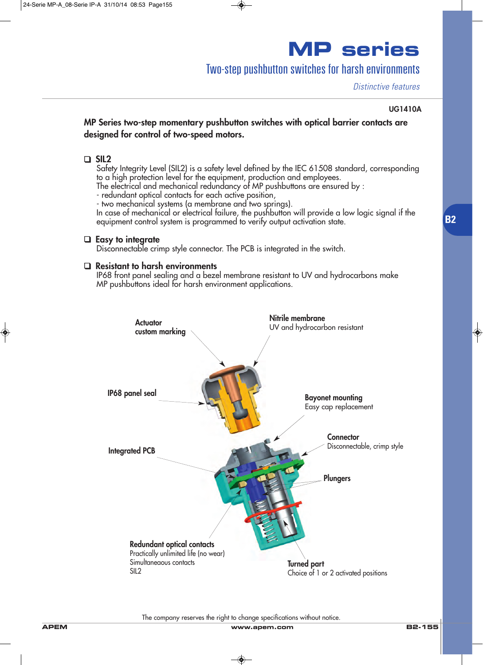## Two-step pushbutton switches for harsh environments

*Distinctive features*

#### **UG1410A**

**B2**

### **MP Series two-step momentary pushbutton switches with optical barrier contacts are designed for control of two-speed motors.**

### ❑ **SIL2**

Safety Integrity Level (SIL2) is a safety level defined by the IEC 61508 standard, corresponding to a high protection level for the equipment, production and employees.

The electrical and mechanical redundancy of MP pushbuttons are ensured by :

- redundant optical contacts for each active position,

- two mechanical systems (a membrane and two springs).

In case of mechanical or electrical failure, the pushbutton will provide a low logic signal if the equipment control system is programmed to verify output activation state.

### ❑ **Easy to integrate**

Disconnectable crimp style connector. The PCB is integrated in the switch.

### ❑ **Resistant to harsh environments**

IP68 front panel sealing and a bezel membrane resistant to UV and hydrocarbons make MP pushbuttons ideal for harsh environment applications.



The company reserves the right to change specifications without notice.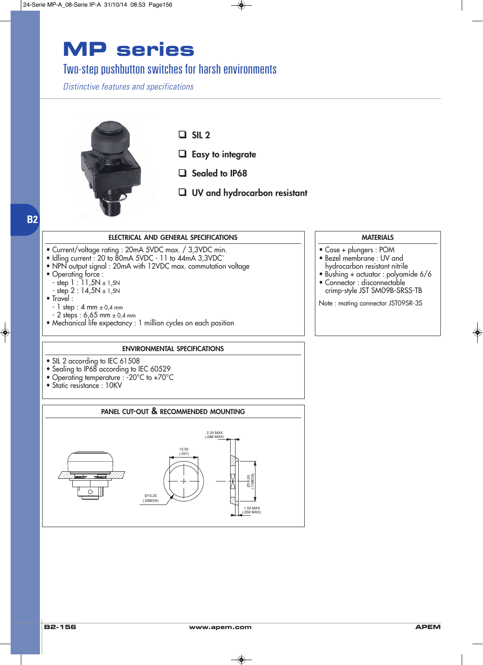## Two-step pushbutton switches for harsh environments

*Distinctive features and specifications*



❑ **SIL 2**

- ❑ **Easy to integrate**
- ❑ **Sealed to IP68**
- ❑ **UV and hydrocarbon resistant**

## **B2**

#### **ELECTRICAL AND GENERAL SPECIFICATIONS**

- Current/voltage rating : 20mA 5VDC max. / 3,3VDC min.
- Idling current : 20 to 80mA 5VDC 11 to 44mA 3,3VDC`
- NPN output signal : 20mA with 12VDC max. commutation voltage
- Operating force :
- step 1 : 11,5N ± 1,5N
- step 2 : 14,5N ± 1,5N
- Travel :
	- $-1$  step : 4 mm  $\pm 0.4$  mm
- 2 steps : 6,65 mm ± 0,4 mm
- Mechanical life expectancy : 1 million cycles on each position

#### **ENVIRONMENTAL SPECIFICATIONS**

- SIL 2 according to IEC 61508
- Sealing to IP68 according to IEC 60529
- Operating temperature : -20°C to +70°C
- Static resistance: 10KV



#### **MATERIALS**

- Case + plungers : POM
- Bezel membrane : UV and hydrocarbon resistant nitrile
- Bushing + actuator : polyamide 6/6
- Connector : disconnectable crimp-style JST SM09B-SRSS-TB
- Note : mating connector JST09SR-3S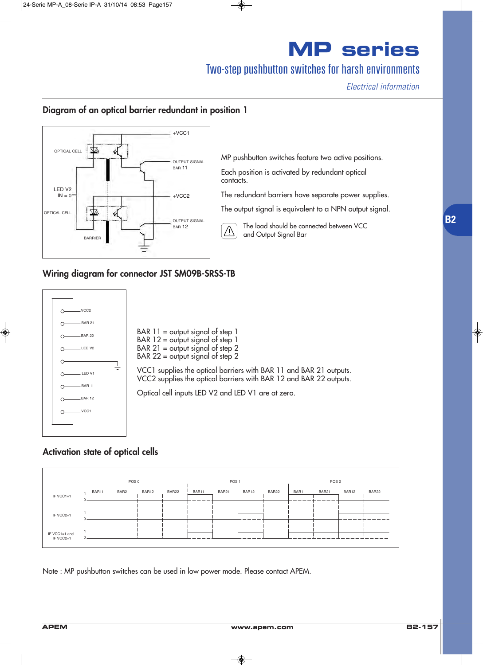# Two-step pushbutton switches for harsh environments

*Electrical information*

**B2**

## **Diagram of an optical barrier redundant in position 1**



#### **Wiring diagram for connector JST SM09B-SRSS-TB**



### **Activation state of optical cells**

|                            |       | POS 0 |       |       |       | POS <sub>1</sub> |       |       |       | POS <sub>2</sub> |       |       |       |
|----------------------------|-------|-------|-------|-------|-------|------------------|-------|-------|-------|------------------|-------|-------|-------|
| IF VCC1=1                  | BAR11 |       | BAR21 | BAR12 | BAR22 | BAR11            | BAR21 | BAR12 | BAR22 | BAR11            | BAR21 | BAR12 | BAR22 |
| IF VCC2=1                  |       |       |       |       |       |                  |       |       |       |                  |       |       |       |
| IF VCC1=1 and<br>IF VCC2=1 |       |       |       |       |       |                  |       |       |       |                  |       |       |       |

Note : MP pushbutton switches can be used in low power mode. Please contact APEM.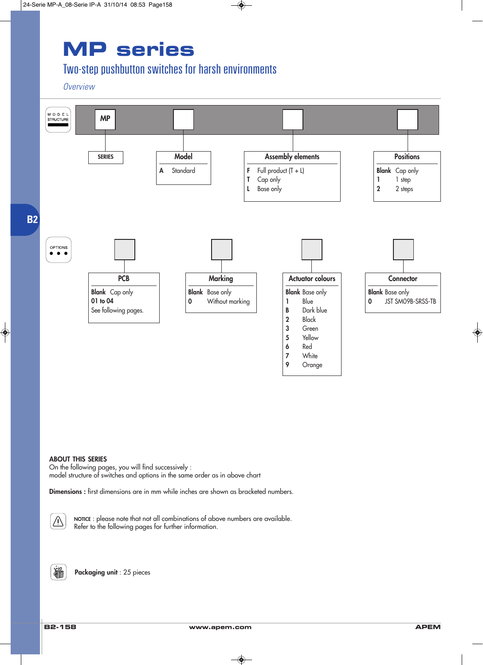# Two-step pushbutton switches for harsh environments

*Overview*



#### **ABOUT THIS SERIES**

On the following pages, you will find successively : model structure of switches and options in the same order as in above chart

**Dimensions :** first dimensions are in mm while inches are shown as bracketed numbers.



**NOTICE** : please note that not all combinations of above numbers are available. Refer to the following pages for further information.

**Packaging unit** : 25 pieces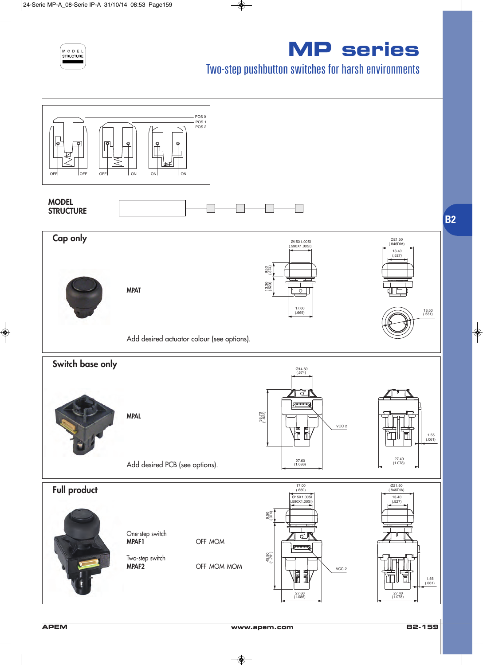

# Two-step pushbutton switches for harsh environments